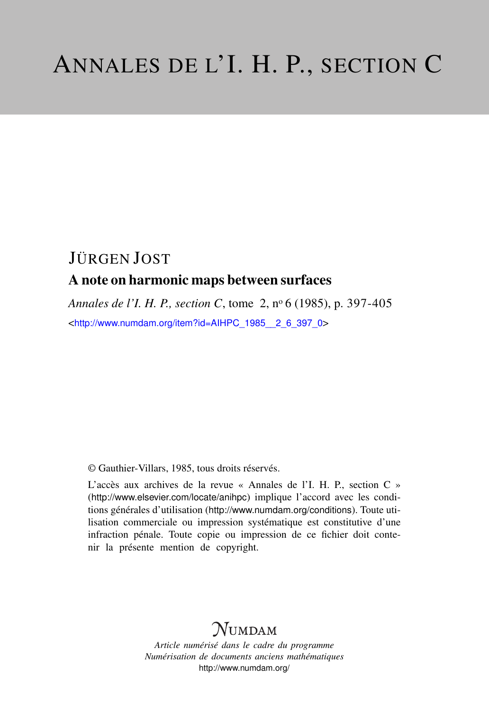# JÜRGEN JOST A note on harmonic maps between surfaces

*Annales de l'I. H. P., section C*, tome 2, n<sup>o</sup> 6 (1985), p. 397-405 <[http://www.numdam.org/item?id=AIHPC\\_1985\\_\\_2\\_6\\_397\\_0](http://www.numdam.org/item?id=AIHPC_1985__2_6_397_0)>

© Gauthier-Villars, 1985, tous droits réservés.

L'accès aux archives de la revue « Annales de l'I. H. P., section C » (<http://www.elsevier.com/locate/anihpc>) implique l'accord avec les conditions générales d'utilisation (<http://www.numdam.org/conditions>). Toute utilisation commerciale ou impression systématique est constitutive d'une infraction pénale. Toute copie ou impression de ce fichier doit contenir la présente mention de copyright.

# **NUMDAM**

*Article numérisé dans le cadre du programme Numérisation de documents anciens mathématiques* <http://www.numdam.org/>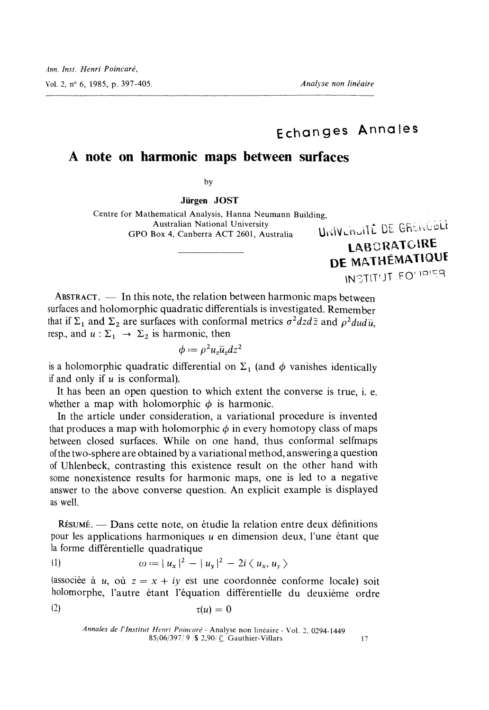# Echanges Annales

### A note on harmonic maps between surfaces

by

Jürgen JOST

Centre for Mathematical Analysis, Hanna Neumann Building,<br>Australian National University<br>GPO Box 4. Canberra ACT 2601. Australia and Harly GRERERERE GPO Box 4, Canberra ACT 2601, Australia

LABORATOIRE DE MATHÉMATIQUE INSTITUT FOLIBIER

ABSTRACT.  $-$  In this note, the relation between harmonic maps between surfaces and holomorphic quadratic differentials is investigated. Remember that if  $\Sigma_1$  and  $\Sigma_2$  are surfaces with conformal metrics  $\sigma^2 dz d\overline{z}$  and  $\rho^2 du d\overline{u}$ , resp., and  $u : \Sigma_1 \rightarrow \Sigma_2$  is harmonic, then

$$
\phi := \rho^2 u_z \overline{u}_z dz^2
$$

is a holomorphic quadratic differential on  $\Sigma_1$  (and  $\phi$  vanishes identically if and only if  $u$  is conformal).

It has been an open question to which extent the converse is true, i. e. whether a map with holomorphic  $\phi$  is harmonic.

In the article under consideration, a variational procedure is invented that produces a map with holomorphic  $\phi$  in every homotopy class of maps between closed surfaces. While on one hand, thus conformal selfmaps of the two-sphere are obtained by a variational method, answering a question of Uhlenbeck, contrasting this existence result on the other hand with answer to the above converse question. An explicit example is displayed as well.

RESUME. - Dans cette note, on étudie la relation entre deux définitions pour les applications harmoniques  $u$  en dimension deux, l'une étant que la forme différentielle quadratique

(1) 
$$
\omega := |u_x|^2 - |u_y|^2 - 2i \langle u_x, u_y \rangle
$$

(associée à u, où  $z = x + iy$  est une coordonnée conforme locale) soit holomorphe, l'autre étant l'équation différentielle du deuxième ordre  $(2)$  $\tau(u)=0$ 

Annales de l'Institut Henri Poincaré - Analyse non linéaire - Vol. 2, 0294-1449  $85/06/397/9$  / \$ 2,90/  $\odot$  Gauthier-Villars 17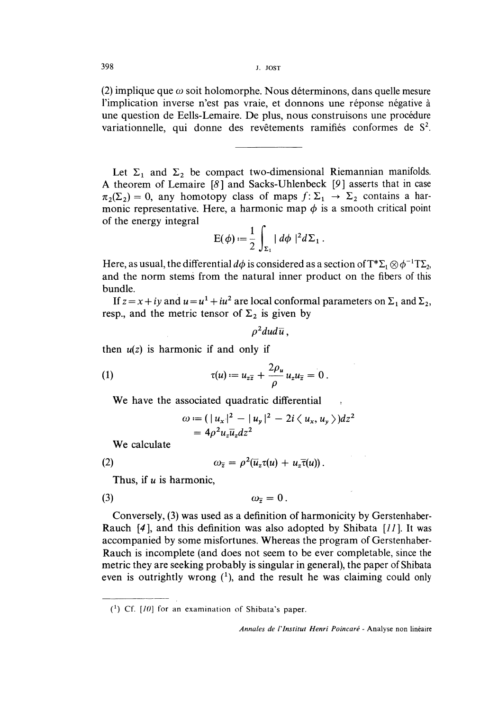(2) implique que  $\omega$  soit holomorphe. Nous déterminons, dans quelle mesure l'implication inverse n'est pas vraie, et donnons une réponse négative à une question de Eells-Lemaire. De plus, nous construisons une procedure variationnelle, qui donne des revêtements ramifiés conformes de S<sup>2</sup>.

Let  $\Sigma_1$  and  $\Sigma_2$  be compact two-dimensional Riemannian manifolds. A theorem of Lemaire  $[8]$  and Sacks-Uhlenbeck  $[9]$  asserts that in case  $\pi_2(\Sigma_2) = 0$ , any homotopy class of maps  $f : \Sigma_1 \to \Sigma_2$  contains a harmonic representative. Here, a harmonic map  $\phi$  is a smooth critical point of the energy integral

$$
E(\phi) := \frac{1}{2} \int_{\Sigma_1} |d\phi|^2 d\Sigma_1.
$$

Here, as usual, the differential  $d\phi$  is considered as a section of  $T^*\Sigma_1 \otimes \phi^{-1}T\Sigma_2$ , and the norm stems from the natural inner product on the fibers of this bundle.

If  $z = x + iy$  and  $u = u<sup>1</sup> + iu<sup>2</sup>$  are local conformal parameters on  $\Sigma_1$  and  $\Sigma_2$ , resp., and the metric tensor of  $\Sigma_2$  is given by

$$
\rho^2 du d\overline{u}\,,
$$

then  $u(z)$  is harmonic if and only if

(1) 
$$
\tau(u) := u_{z\overline{z}} + \frac{2\rho_u}{\rho} u_z u_{\overline{z}} = 0.
$$

We have the associated quadratic differential

$$
\omega := (|u_x|^2 - |u_y|^2 - 2i \langle u_x, u_y \rangle) dz^2
$$
  
=  $4\rho^2 u_z \overline{u}_z dz^2$ 

We calculate

(2) 
$$
\omega_{\overline{z}} = \rho^2(\overline{u}_z \tau(u) + u_z \overline{\tau}(u))
$$

Thus, if  $u$  is harmonic,

$$
\omega_{\overline{z}}=0\,.
$$

Conversely, (3) was used as a definition of harmonicity by Gerstenhaber-Rauch [4 ], and this definition was also adopted by Shibata [11]. It was accompanied by some misfortunes. Whereas the program of Gerstenhaber-Rauch is incomplete (and does not seem to be ever completable, since the metric they are seeking probably is singular in general), the paper of Shibata even is outrightly wrong  $(1)$ , and the result he was claiming could only

 $({}^{1})$  Cf. [10] for an examination of Shibata's paper.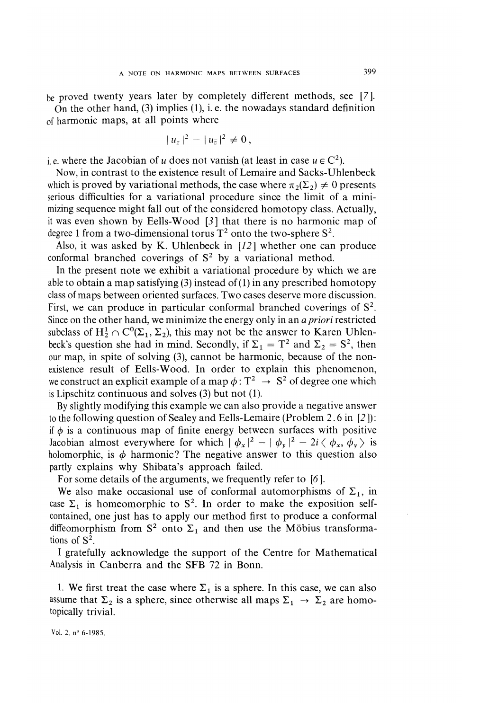be proved twenty years later by completely different methods, see [7]. On the other hand,  $(3)$  implies  $(1)$ , i.e. the nowadays standard definition of harmonic maps, at all points where

$$
|u_z|^2 - |u_{\overline{z}}|^2 \neq 0,
$$

i.e. where the Jacobian of u does not vanish (at least in case  $u \in C^2$ ).

Now, in contrast to the existence result of Lemaire and Sacks-Uhlenbeck which is proved by variational methods, the case where  $\pi_2(\Sigma_2) \neq 0$  presents serious difficulties for a variational procedure since the limit of a minimizing sequence might fall out of the considered homotopy class. Actually, it was even shown by Eells-Wood [3] that there is no harmonic map of degree 1 from a two-dimensional torus  $T^2$  onto the two-sphere  $S^2$ .

Also, it was asked by K. Uhlenbeck in  $[12]$  whether one can produce conformal branched coverings of  $S<sup>2</sup>$  by a variational method.

In the present note we exhibit a variational procedure by which we are able to obtain a map satisfying  $(3)$  instead of  $(1)$  in any prescribed homotopy class of maps between oriented surfaces. Two cases deserve more discussion. First, we can produce in particular conformal branched coverings of  $S^2$ . Since on the other hand, we minimize the energy only in an a priori restricted subclass of  $H_2^1 \cap C^0(\Sigma_1, \Sigma_2)$ , this may not be the answer to Karen Uhlenbeck's question she had in mind. Secondly, if  $\Sigma_1 = T^2$  and  $\Sigma_2 = S^2$ , then our map, in spite of solving (3), cannot be harmonic, because of the non-existence result of Eells-Wood. In order to explain this phenomenon, we construct an explicit example of a map  $\phi: T^2 \to S^2$  of degree one which is Lipschitz continuous and solves (3) but not (1).

By slightly modifying this example we can also provide a negative answer to the following question of Sealey and Eells-Lemaire (Problem 2. 6 in [2 ]) : if  $\phi$  is a continuous map of finite energy between surfaces with positive Jacobian almost everywhere for which  $|\phi_x|^2 - |\phi_y|^2 - 2i \langle \phi_x, \phi_y \rangle$  is holomorphic, is  $\phi$  harmonic? The negative answer to this question also partly explains why Shibata's approach failed.

For some details of the arguments, we frequently refer to [6].

We also make occasional use of conformal automorphisms of  $\Sigma_1$ , in case  $\Sigma_1$  is homeomorphic to S<sup>2</sup>. In order to make the exposition selfcontained, one just has to apply our method first to produce a conformal diffeomorphism from  $S^2$  onto  $\Sigma_1$  and then use the Möbius transformations of  $S^2$ .

I gratefully acknowledge the support of the Centre for Mathematical Analysis in Canberra and the SFB 72 in Bonn.

1. We first treat the case where  $\Sigma_1$  is a sphere. In this case, we can also assume that  $\Sigma_2$  is a sphere, since otherwise all maps  $\Sigma_1 \rightarrow \Sigma_2$  are homotopically trivial.

Vol. 2, n° 6-1985.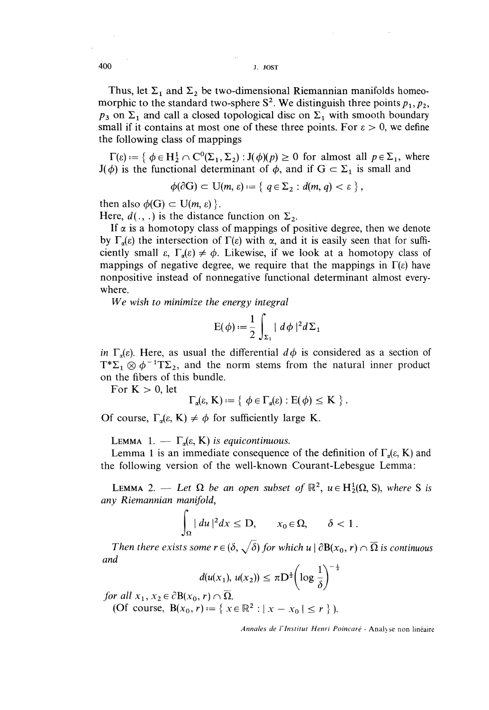400 J. JOST

Thus, let  $\Sigma_1$  and  $\Sigma_2$  be two-dimensional Riemannian manifolds homeomorphic to the standard two-sphere  $S^2$ . We distinguish three points  $p_1, p_2$ ,  $p_3$  on  $\Sigma_1$  and call a closed topological disc on  $\Sigma_1$  with smooth boundary small if it contains at most one of these three points. For  $\varepsilon > 0$ , we define the following class of mappings

 $\Gamma(\varepsilon) := \{ \phi \in H_2^1 \cap C^0(\Sigma_1, \Sigma_2) : J(\phi)(p) \geq 0 \text{ for almost all } p \in \Sigma_1, \text{ where }$  $J(\phi)$  is the functional determinant of  $\phi$ , and if  $G \subset \Sigma_1$  is small and

$$
\phi(\partial G) \subset U(m, \varepsilon) := \{ q \in \Sigma_2 : d(m, q) < \varepsilon \},
$$

then also  $\phi(G) \subset U(m, \varepsilon)$ .

Here,  $d( ., .)$  is the distance function on  $\Sigma_2$ .

If  $\alpha$  is a homotopy class of mappings of positive degree, then we denote by  $\Gamma_{\alpha}(\varepsilon)$  the intersection of  $\Gamma(\varepsilon)$  with  $\alpha$ , and it is easily seen that for sufficiently small  $\varepsilon$ ,  $\Gamma_{\alpha}(\varepsilon) \neq \phi$ . Likewise, if we look at a homotopy class of mappings of negative degree, we require that the mappings in  $\Gamma(\varepsilon)$  have nonpositive instead of nonnegative functional determinant almost everywhere.

We wish to minimize the energy integral

$$
E(\phi) := \frac{1}{2} \int_{\Sigma_1} |d\phi|^2 d\Sigma_1
$$

in  $\Gamma_a(\varepsilon)$ . Here, as usual the differential  $d\phi$  is considered as a section of  $T^*\Sigma_1 \otimes \phi^{-1}T\Sigma_2$ , and the norm stems from the natural inner product on the fibers of this bundle.

For  $K > 0$ , let

$$
\Gamma_{\alpha}(\varepsilon, \mathbf{K}) := \{ \phi \in \Gamma_{\alpha}(\varepsilon) : E(\phi) \leq \mathbf{K} \}.
$$

Of course,  $\Gamma_{\alpha}(\varepsilon, K) \neq \phi$  for sufficiently large K.

LEMMA 1. -  $\Gamma_{\alpha}(\varepsilon, K)$  is equicontinuous.

Lemma 1 is an immediate consequence of the definition of  $\Gamma_a(\varepsilon, K)$  and the following version of the well-known Courant-Lebesgue Lemma :

**LEMMA** 2. - Let  $\Omega$  be an open subset of  $\mathbb{R}^2$ ,  $u \in H_2^1(\Omega, S)$ , where S is any Riemannian manifold,

$$
\int_{\Omega} |du|^2 dx \leq D, \qquad x_0 \in \Omega, \qquad \delta < 1.
$$

Then there exists some  $r \in (\delta, \sqrt{\delta})$  for which  $u \mid \partial B(x_0, r) \cap \overline{\Omega}$  is continuous and  $\frac{1}{2}$ 

$$
d(u(x_1), u(x_2)) \leq \pi D^{\frac{1}{2}} \left( \log \frac{1}{\delta} \right)^{-1}
$$

for all  $x_1, x_2 \in \partial B(x_0, r) \cap \overline{\Omega}$ .

(Of course,  $B(x_0, r) := \{ x \in \mathbb{R}^2 : |x - x_0| \le r \}$ ).

Annales de I'Institut Henri Poincaré - Analyse non linéaire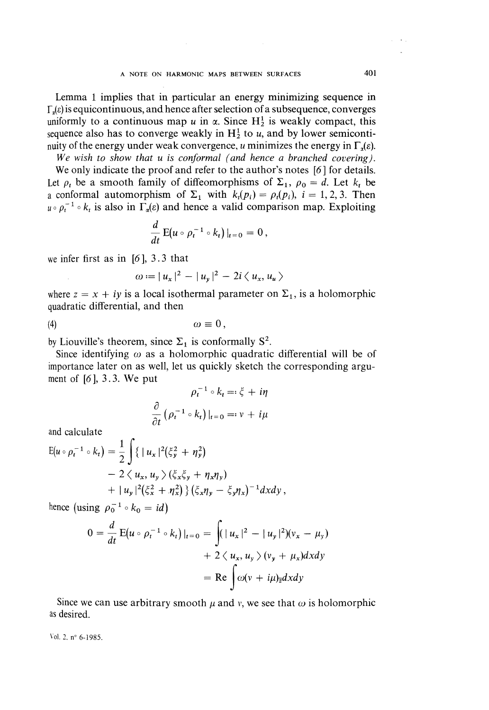#### A NOTE ON HARMONIC MAPS BETWEEN SURFACES 401

Lemma 1 implies that in particular an energy minimizing sequence in  $\Gamma_4(\varepsilon)$  is equicontinuous, and hence after selection of a subsequence, converges uniformly to a continuous map u in  $\alpha$ . Since H<sub>2</sub> is weakly compact, this sequence also has to converge weakly in  $H_2^1$  to u, and by lower semicontinuity of the energy under weak convergence, u minimizes the energy in  $\Gamma_{\tau}(\varepsilon)$ .

We wish to show that u is conformal (and hence a branched covering).

We only indicate the proof and refer to the author's notes [6] for details. Let  $\rho_t$  be a smooth family of diffeomorphisms of  $\Sigma_1$ ,  $\rho_0 = d$ . Let  $k_t$  be a conformal automorphism of  $\Sigma_1$  with  $k_i(p_i) = \rho_i(p_i)$ ,  $i = 1, 2, 3$ . Then  $u \circ \rho_t^{-1} \circ k_t$  is also in  $\Gamma_a(\varepsilon)$  and hence a valid comparison map. Exploiting

$$
\frac{d}{dt} E(u \circ \rho_t^{-1} \circ k_t)|_{t=0} = 0,
$$

we infer first as in  $[6]$ , 3.3 that

$$
\omega:=|u_x|^2-|u_y|^2-2i\langle u_x,u_u\rangle
$$

where  $z = x + iy$  is a local isothermal parameter on  $\Sigma_1$ , is a holomorphic quadratic differential, and then

$$
\omega \equiv 0 \,,
$$

by Liouville's theorem, since  $\Sigma_1$  is conformally  $S^2$ .

Since identifying  $\omega$  as a holomorphic quadratic differential will be of importance later on as well, let us quickly sketch the corresponding argument of  $[6]$ , 3.3. We put

$$
\rho_t^{-1} \circ k_t =: \xi + i\eta
$$

$$
\frac{\partial}{\partial t} \left( \rho_t^{-1} \circ k_t \right) \Big|_{t=0} =: v + i\mu
$$

and calculate

$$
E(u \circ \rho_t^{-1} \circ k_t) = \frac{1}{2} \int \{ |u_x|^2 (\xi_y^2 + \eta_y^2) - 2 \langle u_x, u_y \rangle (\xi_x \xi_y + \eta_x \eta_y) + |u_y|^2 (\xi_x^2 + \eta_x^2) \} (\xi_x \eta_y - \xi_y \eta_x)^{-1} dxdy,
$$

hence (using  $\rho_0^{-1} \circ k_0 = id$ )

$$
0 = \frac{d}{dt} E(u \circ \rho_t^{-1} \circ k_t)|_{t=0} = \int (|u_x|^2 - |u_y|^2)(v_x - \mu_y)
$$
  
+ 2 \langle u\_x, u\_y \rangle (v\_y + \mu\_x)dxdy  
= Re  $\int \omega(v + i\mu)_{\overline{z}}dxdy$ 

Since we can use arbitrary smooth  $\mu$  and v, we see that  $\omega$  is holomorphic as desired.

Vol. 2, nº 6-1985.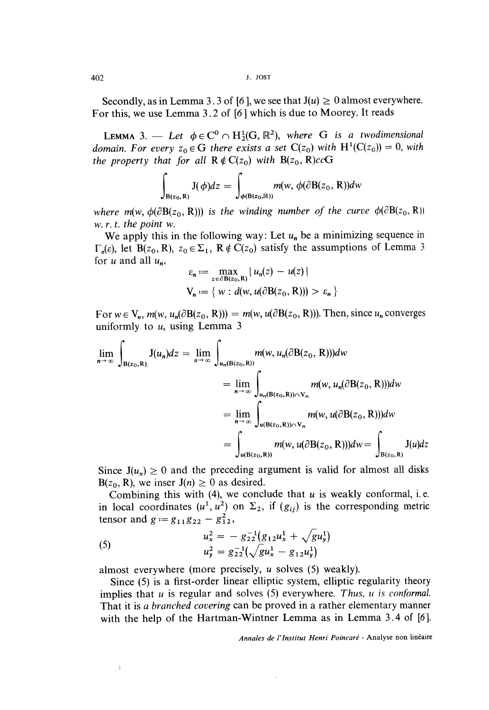Secondly, as in Lemma 3.3 of [6], we see that  $J(u) \ge 0$  almost everywhere. For this, we use Lemma 3.2 of [6] which is due to Moorey. It reads

LEMMA 3.  $\longrightarrow$  Let  $\phi \in C^0 \cap H_2^1(G, \mathbb{R}^2)$ , where G is a twodimensional domain. For every  $z_0 \in G$  there exists a set  $C(z_0)$  with  $H^1(C(z_0)) = 0$ , with the property that for all  $R \notin C(z_0)$  with  $B(z_0, R)ccG$ 

$$
\int_{\mathbf{B}(z_0,\mathbf{R})} J(\phi)dz = \int_{\phi(\mathbf{B}(z_0,\mathbb{R}))} m(w, \phi(\partial \mathbf{B}(z_0,\mathbf{R}))dw
$$

where m(w,  $\phi(\partial B(z_0, R))$ ) is the winding number of the curve  $\phi(\partial B(z_0, R))$ w. r. t. the point w.

We apply this in the following way: Let  $u_n$  be a minimizing sequence in  $\Gamma_{\alpha}(\varepsilon)$ , let B(z<sub>0</sub>, R),  $z_0 \in \Sigma_1$ , R  $\notin C(z_0)$  satisfy the assumptions of Lemma 3 for u and all  $u_n$ ,

$$
\varepsilon_n := \max_{z \in \partial B(z_0, R)} |u_n(z) - u(z)|
$$
  

$$
V_n := \{ w : d(w, u(\partial B(z_0, R))) > \varepsilon_n \}
$$

For  $w \in V_n$ ,  $m(w, u_n(\partial B(z_0, R))) = m(w, u(\partial B(z_0, R)))$ . Then, since  $u_n$  converges uniformly to  $u$ , using Lemma 3

$$
\lim_{n \to \infty} \int_{B(z_0, R)} J(u_n) dz = \lim_{n \to \infty} \int_{u_n(B(z_0, R))} m(w, u_n(\partial B(z_0, R))) dw
$$
  
\n
$$
= \lim_{n \to \infty} \int_{u_n(B(z_0, R)) \cap V_n} m(w, u_n(\partial B(z_0, R))) dw
$$
  
\n
$$
= \lim_{n \to \infty} \int_{u(B(z_0, R)) \cap V_n} m(w, u(\partial B(z_0, R))) dw
$$
  
\n
$$
= \int_{u(B(z_0, R))} m(w, u(\partial B(z_0, R))) dw = \int_{B(z_0, R)} J(u) dz
$$

Since  $J(u_n) \ge 0$  and the preceding argument is valid for almost all disks  $B(z_0, R)$ , we inser  $J(n) \ge 0$  as desired.

Combining this with (4), we conclude that  $u$  is weakly conformal, i.e. in local coordinates  $(u^1, u^2)$  on  $\Sigma_2$ , if  $(g_{ij})$  is the corresponding metric tensor and  $g := g_{11}g_{22} - g_{12}^2$ ,

(5) 
$$
u_x^2 = -g_{22}^{-1}(g_{12}u_x^1 + \sqrt{gu_y^1})
$$

$$
u_y^2 = g_{22}^{-1}(\sqrt{gu_x^1 - g_{12}u_y^1})
$$

 $\ddot{\cdot}$ 

almost everywhere (more precisely, u solves (5) weakly).

Since (5) is a first-order linear elliptic system, elliptic regularity theory implies that  $u$  is regular and solves (5) everywhere. Thus,  $u$  is conformal. That it is a branched covering can be proved in a rather elementary manner with the help of the Hartman-Wintner Lemma as in Lemma 3.4 of [6].

Annales de l'Institut Henri Poincaré - Analyse non linéaire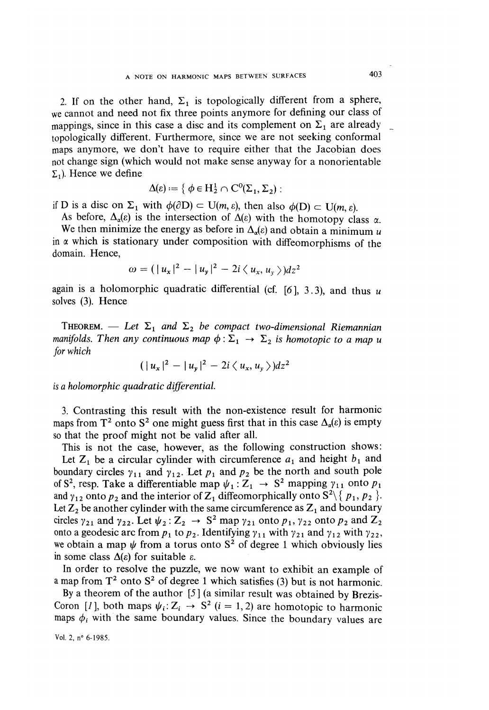2. If on the other hand,  $\Sigma_1$  is topologically different from a sphere, we cannot and need not fix three points anymore for defining our class of mappings, since in this case a disc and its complement on  $\Sigma_1$  are already topologically different. Furthermore, since we are not seeking conformal maps anymore, we don't have to require either that the Jacobian does not change sign (which would not make sense anyway for a nonorientable  $\Sigma_1$ ). Hence we define

$$
\Delta(\varepsilon):=\{\ \phi\in H^1_2\cap C^0(\Sigma_1,\Sigma_2):
$$

if D is a disc on  $\Sigma_1$  with  $\phi(\partial D) \subset U(m, \varepsilon)$ , then also  $\phi(D) \subset U(m, \varepsilon)$ .

As before,  $\Delta_{\alpha}(\varepsilon)$  is the intersection of  $\Delta(\varepsilon)$  with the homotopy class  $\alpha$ . We then minimize the energy as before in  $\Delta_{\alpha}(\varepsilon)$  and obtain a minimum u in  $\alpha$  which is stationary under composition with diffeomorphisms of the domain. Hence,

$$
\omega = (|u_x|^2 - |u_y|^2 - 2i \langle u_x, u_y \rangle) dz^2
$$

again is a holomorphic quadratic differential (cf.  $[6]$ , 3.3), and thus u solves (3). Hence

THEOREM. - Let  $\Sigma_1$  and  $\Sigma_2$  be compact two-dimensional Riemannian manifolds. Then any continuous map  $\phi : \Sigma_1 \to \Sigma_2$  is homotopic to a map u for which

$$
(|u_x|^2-|u_y|^2-2i\langle u_x,u_y\rangle)dz^2
$$

is a holomorphic quadratic differential.

3. Contrasting this result with the non-existence result for harmonic maps from T<sup>2</sup> onto S<sup>2</sup> one might guess first that in this case  $\Delta_{\alpha}(\varepsilon)$  is empty so that the proof might not be valid after all.

This is not the case, however, as the following construction shows: Let  $Z_1$  be a circular cylinder with circumference  $a_1$  and height  $b_1$  and boundary circles  $\gamma_{11}$  and  $\gamma_{12}$ . Let  $p_1$  and  $p_2$  be the north and south pole of S<sup>2</sup>, resp. Take a differentiable map  $\psi_1 : Z_1 \rightarrow S^2$  mapping  $\gamma_{11}$  onto  $p_1$ and  $\gamma_{12}$  onto  $p_2$  and the interior of  $Z_1$  diffeomorphically onto  $S^2 \setminus \{p_1, p_2\}$ . Let  $Z_2$  be another cylinder with the same circumference as  $Z_1$  and boundary circles  $\gamma_{21}$  and  $\gamma_{22}$ . Let  $\psi_2 : Z_2 \to S^2$  map  $\gamma_{21}$  onto  $p_1, \gamma_{22}$  onto  $p_2$  and  $Z_2$ onto a geodesic arc from  $p_1$  to  $p_2$ . Identifying  $\gamma_{11}$  with  $\gamma_{21}$  and  $\gamma_{12}$  with  $\gamma_{22}$ , we obtain a map  $\psi$  from a torus onto S<sup>2</sup> of degree 1 which obviously lies in some class  $\Delta(\varepsilon)$  for suitable  $\varepsilon$ .

In order to resolve the puzzle, we now want to exhibit an example of a map from  $T^2$  onto  $S^2$  of degree 1 which satisfies (3) but is not harmonic.

By a theorem of the author  $[5]$  (a similar result was obtained by Brezis-Coron [1], both maps  $\psi_i: Z_i \to S^2$  (i = 1, 2) are homotopic to harmonic maps  $\phi_i$  with the same boundary values. Since the boundary values are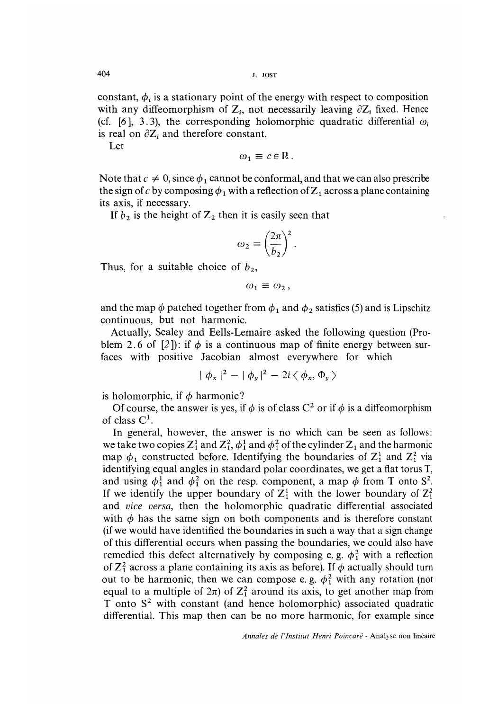constant,  $\phi_i$  is a stationary point of the energy with respect to composition with any diffeomorphism of  $Z_i$ , not necessarily leaving  $\partial Z_i$  fixed. Hence (cf. [6], 3.3), the corresponding holomorphic quadratic differential  $\omega_i$ is real on  $\partial Z_i$  and therefore constant.

Let

$$
\omega_1 \equiv c \in \mathbb{R}.
$$

Note that  $c \neq 0$ , since  $\phi_1$  cannot be conformal, and that we can also prescribe the sign of c by composing  $\phi_1$  with a reflection of  $Z_1$  across a plane containing its axis, if necessary.

If  $b_2$  is the height of  $\mathbb{Z}_2$  then it is easily seen that

$$
\omega_2 \equiv \left(\frac{2\pi}{b_2}\right)^2.
$$

Thus, for a suitable choice of  $b_2$ ,

$$
\omega_1 \equiv \omega_2,
$$

and the map  $\phi$  patched together from  $\phi_1$  and  $\phi_2$  satisfies (5) and is Lipschitz continuous, but not harmonic.

Actually, Sealey and Eells-Lemaire asked the following question (Problem 2.6 of [2]): if  $\phi$  is a continuous map of finite energy between surfaces with positive Jacobian almost everywhere for which

$$
|\phi_x|^2 - |\phi_y|^2 - 2i \langle \phi_x, \Phi_y \rangle
$$

is holomorphic, if  $\phi$  harmonic?

Of course, the answer is yes, if  $\phi$  is of class C<sup>2</sup> or if  $\phi$  is a diffeomorphism of class  $C^1$ .

In general, however, the answer is no which can be seen as follows: we take two copies  $Z_1^1$  and  $Z_1^2$ ,  $\phi_1^1$  and  $\phi_1^2$  of the cylinder  $Z_1$  and the harmonic map  $\phi_1$  constructed before. Identifying the boundaries of  $Z_1^1$  and  $Z_1^2$  via identifying equal angles in standard polar coordinates, we get a flat torus T, and using  $\phi_1^1$  and  $\phi_1^2$  on the resp. component, a map  $\phi$  from T onto S<sup>2</sup>. If we identify the upper boundary of  $Z_1^1$  with the lower boundary of  $Z_1^2$ and vice versa, then the holomorphic quadratic differential associated with  $\phi$  has the same sign on both components and is therefore constant (if we would have identified the boundaries in such a way that a sign change of this differential occurs when passing the boundaries, we could also have remedied this defect alternatively by composing e. g.  $\phi_1^2$  with a reflection of  $\mathbb{Z}_1^2$  across a plane containing its axis as before). If  $\phi$  actually should turn out to be harmonic, then we can compose e.g.  $\phi_1^2$  with any rotation (not equal to a multiple of  $2\pi$ ) of  $\mathbb{Z}_1^2$  around its axis, to get another map from T onto  $S<sup>2</sup>$  with constant (and hence holomorphic) associated quadratic differential. This map then can be no more harmonic, for example since